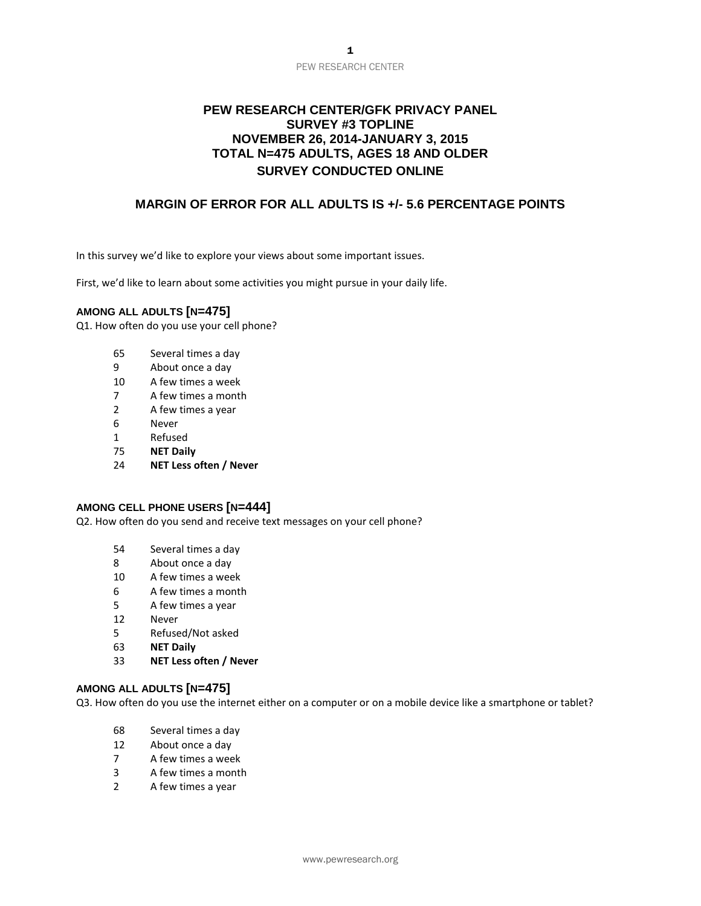# **PEW RESEARCH CENTER/GFK PRIVACY PANEL SURVEY #3 TOPLINE NOVEMBER 26, 2014-JANUARY 3, 2015 TOTAL N=475 ADULTS, AGES 18 AND OLDER SURVEY CONDUCTED ONLINE**

# **MARGIN OF ERROR FOR ALL ADULTS IS +/- 5.6 PERCENTAGE POINTS**

In this survey we'd like to explore your views about some important issues.

First, we'd like to learn about some activities you might pursue in your daily life.

#### **AMONG ALL ADULTS [N=475]**

Q1. How often do you use your cell phone?

- 65 Several times a day
- 9 About once a day
- 10 A few times a week
- 7 A few times a month
- 2 A few times a year
- 6 Never
- 1 Refused
- 75 **NET Daily**
- 24 **NET Less often / Never**

#### **AMONG CELL PHONE USERS [N=444]**

Q2. How often do you send and receive text messages on your cell phone?

- 54 Several times a day
- 8 About once a day
- 10 A few times a week
- 6 A few times a month
- 5 A few times a year
- 12 Never
- 5 Refused/Not asked
- 63 **NET Daily**
- 33 **NET Less often / Never**

#### **AMONG ALL ADULTS [N=475]**

Q3. How often do you use the internet either on a computer or on a mobile device like a smartphone or tablet?

- 68 Several times a day
- 12 About once a day
- 7 A few times a week
- 3 A few times a month
- 2 A few times a year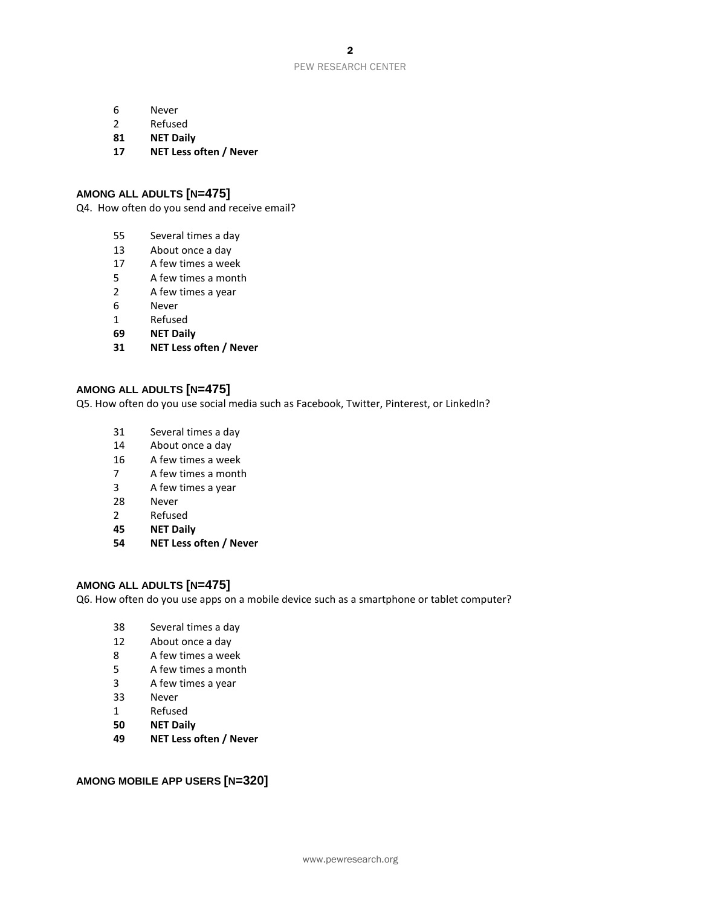- Never
- Refused
- **NET Daily**
- **NET Less often / Never**

#### **AMONG ALL ADULTS [N=475]**

Q4. How often do you send and receive email?

- Several times a day
- About once a day
- A few times a week
- A few times a month
- A few times a year
- Never
- Refused
- **NET Daily**
- **NET Less often / Never**

#### **AMONG ALL ADULTS [N=475]**

Q5. How often do you use social media such as Facebook, Twitter, Pinterest, or LinkedIn?

- Several times a day
- About once a day
- A few times a week
- A few times a month
- A few times a year
- Never
- Refused
- **NET Daily**
- **NET Less often / Never**

## **AMONG ALL ADULTS [N=475]**

Q6. How often do you use apps on a mobile device such as a smartphone or tablet computer?

- Several times a day
- About once a day
- A few times a week
- A few times a month
- A few times a year
- Never
- Refused
- **NET Daily**
- **NET Less often / Never**

## **AMONG MOBILE APP USERS [N=320]**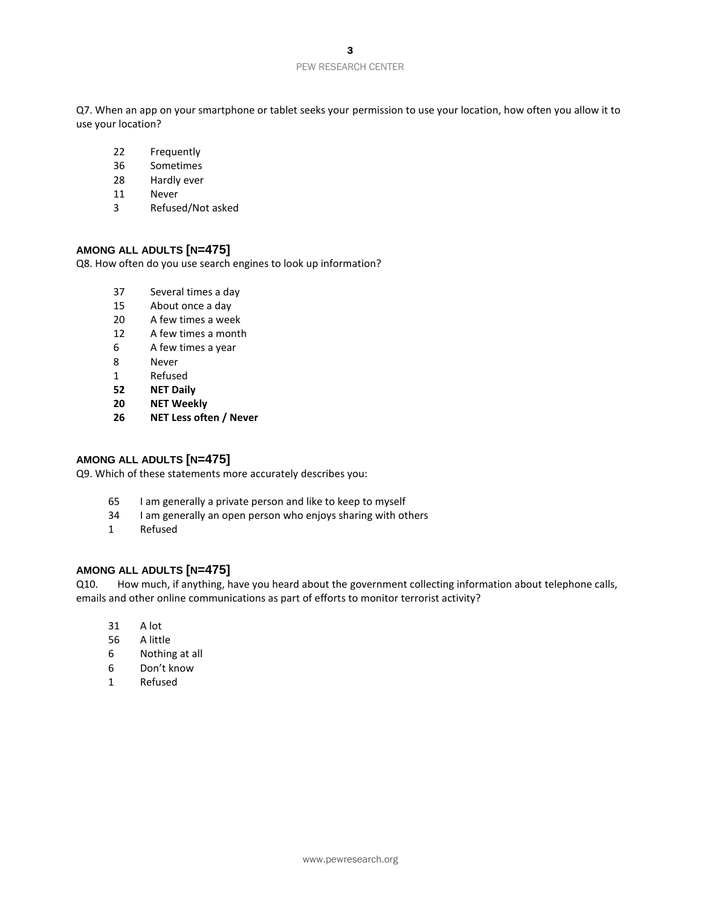Q7. When an app on your smartphone or tablet seeks your permission to use your location, how often you allow it to use your location?

- Frequently
- Sometimes
- Hardly ever
- Never
- Refused/Not asked

#### **AMONG ALL ADULTS [N=475]**

Q8. How often do you use search engines to look up information?

- Several times a day
- About once a day
- A few times a week
- A few times a month
- A few times a year
- Never
- Refused
- **NET Daily**
- **NET Weekly**
- **NET Less often / Never**

#### **AMONG ALL ADULTS [N=475]**

Q9. Which of these statements more accurately describes you:

- I am generally a private person and like to keep to myself
- I am generally an open person who enjoys sharing with others
- Refused

#### **AMONG ALL ADULTS [N=475]**

Q10. How much, if anything, have you heard about the government collecting information about telephone calls, emails and other online communications as part of efforts to monitor terrorist activity?

- A lot
- A little
- Nothing at all
- Don't know
- Refused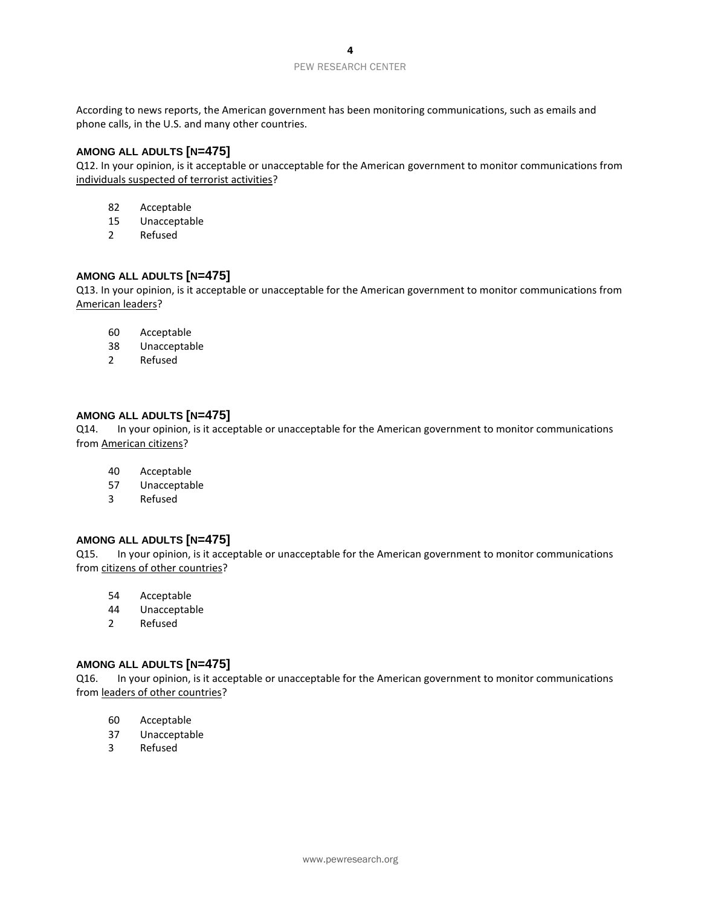According to news reports, the American government has been monitoring communications, such as emails and phone calls, in the U.S. and many other countries.

## **AMONG ALL ADULTS [N=475]**

Q12. In your opinion, is it acceptable or unacceptable for the American government to monitor communications from individuals suspected of terrorist activities?

- 82 Acceptable
- 15 Unacceptable
- 2 Refused

## **AMONG ALL ADULTS [N=475]**

Q13. In your opinion, is it acceptable or unacceptable for the American government to monitor communications from American leaders?

- 60 Acceptable
- 38 Unacceptable
- 2 Refused

#### **AMONG ALL ADULTS [N=475]**

Q14. In your opinion, is it acceptable or unacceptable for the American government to monitor communications from American citizens?

- 40 Acceptable
- 57 Unacceptable
- 3 Refused

#### **AMONG ALL ADULTS [N=475]**

Q15. In your opinion, is it acceptable or unacceptable for the American government to monitor communications from citizens of other countries?

- 54 Acceptable
- 44 Unacceptable
- 2 Refused

#### **AMONG ALL ADULTS [N=475]**

Q16. In your opinion, is it acceptable or unacceptable for the American government to monitor communications from leaders of other countries?

- 60 Acceptable
- 37 Unacceptable
- 3 Refused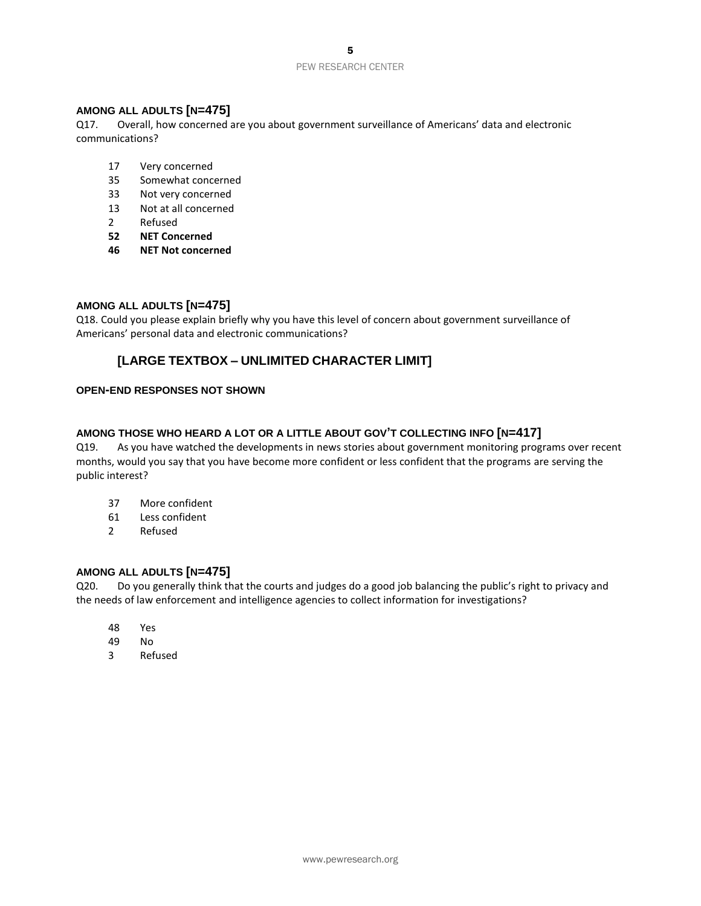## **AMONG ALL ADULTS [N=475]**

Q17. Overall, how concerned are you about government surveillance of Americans' data and electronic communications?

- 17 Very concerned
- 35 Somewhat concerned
- 33 Not very concerned
- 13 Not at all concerned
- 2 Refused
- **52 NET Concerned**
- **46 NET Not concerned**

#### **AMONG ALL ADULTS [N=475]**

Q18. Could you please explain briefly why you have this level of concern about government surveillance of Americans' personal data and electronic communications?

## **[LARGE TEXTBOX – UNLIMITED CHARACTER LIMIT]**

#### **OPEN-END RESPONSES NOT SHOWN**

## **AMONG THOSE WHO HEARD A LOT OR A LITTLE ABOUT GOV'T COLLECTING INFO [N=417]**

Q19. As you have watched the developments in news stories about government monitoring programs over recent months, would you say that you have become more confident or less confident that the programs are serving the public interest?

- 37 More confident
- 61 Less confident
- 2 Refused

#### **AMONG ALL ADULTS [N=475]**

Q20. Do you generally think that the courts and judges do a good job balancing the public's right to privacy and the needs of law enforcement and intelligence agencies to collect information for investigations?

- 48 Yes
- 49 No
- 3 Refused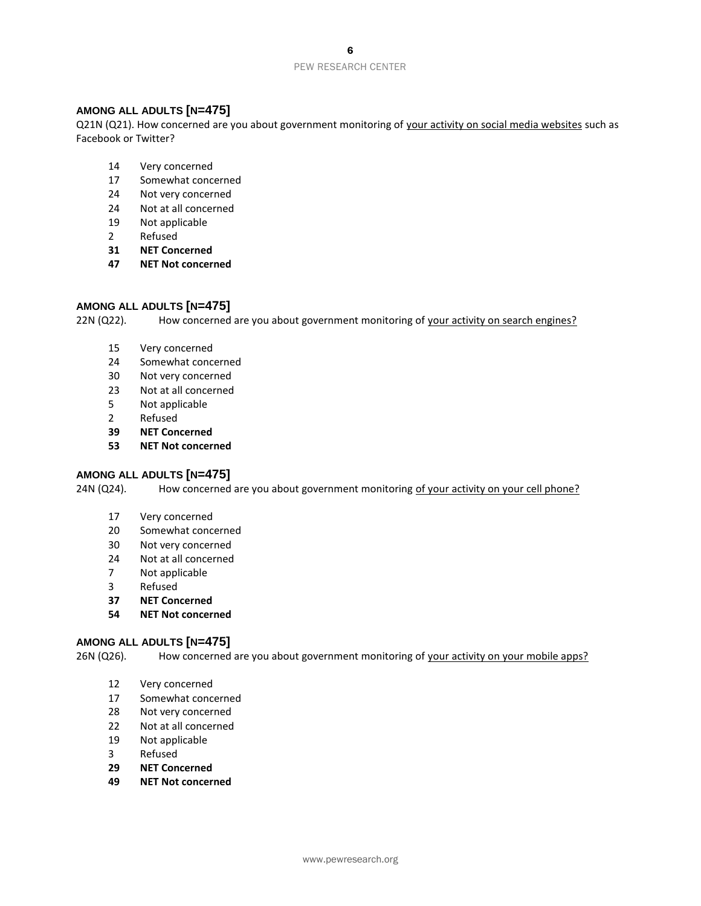#### PEW RESEARCH CENTER

## **AMONG ALL ADULTS [N=475]**

Q21N (Q21). How concerned are you about government monitoring of your activity on social media websites such as Facebook or Twitter?

- Very concerned
- Somewhat concerned
- Not very concerned
- Not at all concerned
- Not applicable
- Refused
- **NET Concerned**
- **NET Not concerned**

#### **AMONG ALL ADULTS [N=475]**

22N (Q22). How concerned are you about government monitoring of your activity on search engines?

- Very concerned
- Somewhat concerned
- Not very concerned
- Not at all concerned
- Not applicable
- Refused
- **NET Concerned**
- **NET Not concerned**

#### **AMONG ALL ADULTS [N=475]**

24N (Q24). How concerned are you about government monitoring of your activity on your cell phone?

- Very concerned
- Somewhat concerned
- Not very concerned
- Not at all concerned
- Not applicable
- Refused
- **NET Concerned**
- **NET Not concerned**

#### **AMONG ALL ADULTS [N=475]**

26N (Q26). How concerned are you about government monitoring of your activity on your mobile apps?

- Very concerned
- Somewhat concerned
- Not very concerned
- Not at all concerned
- Not applicable
- Refused
- **NET Concerned**
- **NET Not concerned**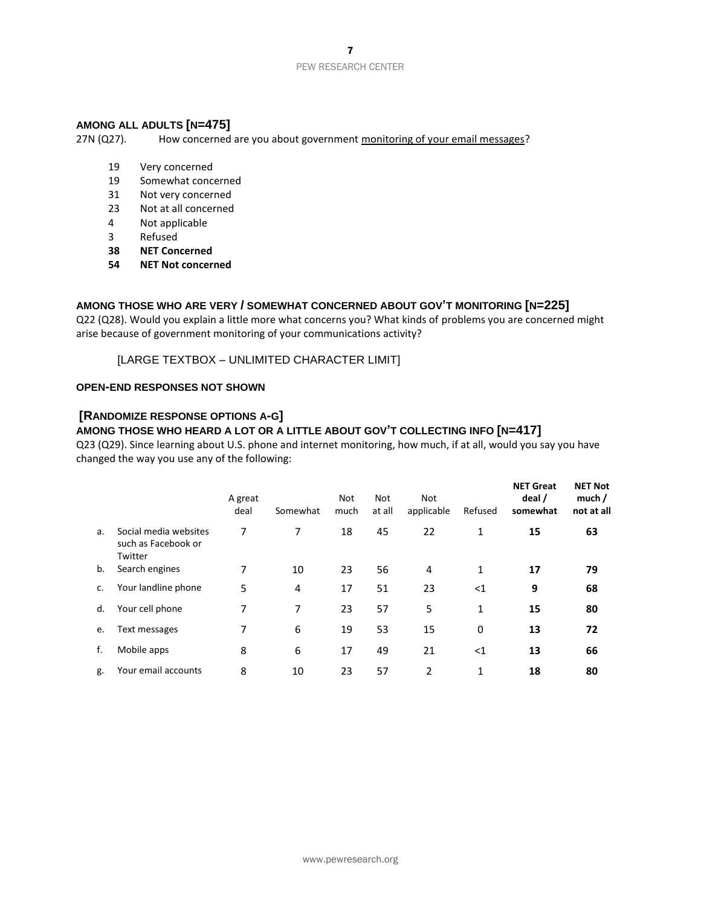## **AMONG ALL ADULTS [N=475]**

27N (Q27). How concerned are you about government monitoring of your email messages?

- 19 Very concerned
- 19 Somewhat concerned
- 31 Not very concerned
- 23 Not at all concerned
- 4 Not applicable
- 3 Refused
- **38 NET Concerned**
- **54 NET Not concerned**

#### **AMONG THOSE WHO ARE VERY / SOMEWHAT CONCERNED ABOUT GOV'T MONITORING [N=225]**

Q22 (Q28). Would you explain a little more what concerns you? What kinds of problems you are concerned might arise because of government monitoring of your communications activity?

[LARGE TEXTBOX – UNLIMITED CHARACTER LIMIT]

#### **OPEN-END RESPONSES NOT SHOWN**

## **[RANDOMIZE RESPONSE OPTIONS A-G]**

## **AMONG THOSE WHO HEARD A LOT OR A LITTLE ABOUT GOV'T COLLECTING INFO [N=417]**

Q23 (Q29). Since learning about U.S. phone and internet monitoring, how much, if at all, would you say you have changed the way you use any of the following:

|    |                                                         | A great<br>deal | Somewhat | <b>Not</b><br>much | <b>Not</b><br>at all | <b>Not</b><br>applicable | Refused | <b>NET Great</b><br>deal /<br>somewhat | <b>NET Not</b><br>much/<br>not at all |
|----|---------------------------------------------------------|-----------------|----------|--------------------|----------------------|--------------------------|---------|----------------------------------------|---------------------------------------|
| a. | Social media websites<br>such as Facebook or<br>Twitter | 7               | 7        | 18                 | 45                   | 22                       | 1       | 15                                     | 63                                    |
| b. | Search engines                                          | 7               | 10       | 23                 | 56                   | 4                        | 1       | 17                                     | 79                                    |
| c. | Your landline phone                                     | 5               | 4        | 17                 | 51                   | 23                       | $<$ 1   | 9                                      | 68                                    |
| d. | Your cell phone                                         | 7               | 7        | 23                 | 57                   | 5                        | 1       | 15                                     | 80                                    |
| e. | Text messages                                           | 7               | 6        | 19                 | 53                   | 15                       | 0       | 13                                     | 72                                    |
| f. | Mobile apps                                             | 8               | 6        | 17                 | 49                   | 21                       | $<$ 1   | 13                                     | 66                                    |
| g. | Your email accounts                                     | 8               | 10       | 23                 | 57                   | $\overline{2}$           | 1       | 18                                     | 80                                    |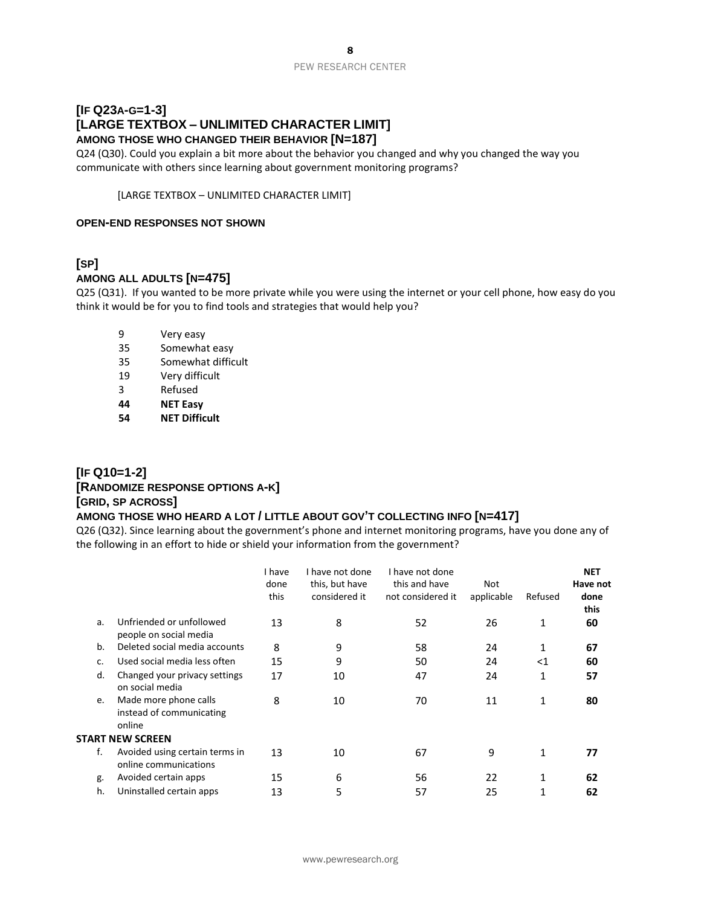# **[IF Q23A-G=1-3] [LARGE TEXTBOX – UNLIMITED CHARACTER LIMIT] AMONG THOSE WHO CHANGED THEIR BEHAVIOR [N=187]**

Q24 (Q30). Could you explain a bit more about the behavior you changed and why you changed the way you communicate with others since learning about government monitoring programs?

[LARGE TEXTBOX – UNLIMITED CHARACTER LIMIT]

#### **OPEN-END RESPONSES NOT SHOWN**

# **[SP]**

## **AMONG ALL ADULTS [N=475]**

Q25 (Q31). If you wanted to be more private while you were using the internet or your cell phone, how easy do you think it would be for you to find tools and strategies that would help you?

- 9 Very easy
- 35 Somewhat easy
- 35 Somewhat difficult
- 19 Very difficult
- 3 Refused
- **44 NET Easy**
- **54 NET Difficult**

# **[IF Q10=1-2] [RANDOMIZE RESPONSE OPTIONS A-K] [GRID, SP ACROSS]**

## **AMONG THOSE WHO HEARD A LOT / LITTLE ABOUT GOV'T COLLECTING INFO [N=417]**

Q26 (Q32). Since learning about the government's phone and internet monitoring programs, have you done any of the following in an effort to hide or shield your information from the government?

|    |                                                             | I have<br>done<br>this | I have not done<br>this, but have<br>considered it | I have not done<br>this and have<br>not considered it | Not<br>applicable | Refused  | <b>NET</b><br>Have not<br>done<br>this |
|----|-------------------------------------------------------------|------------------------|----------------------------------------------------|-------------------------------------------------------|-------------------|----------|----------------------------------------|
| a. | Unfriended or unfollowed<br>people on social media          | 13                     | 8                                                  | 52                                                    | 26                | 1        | 60                                     |
| b. | Deleted social media accounts                               | 8                      | 9                                                  | 58                                                    | 24                |          | 67                                     |
| c. | Used social media less often                                | 15                     | 9                                                  | 50                                                    | 24                | $\leq$ 1 | 60                                     |
| d. | Changed your privacy settings<br>on social media            | 17                     | 10                                                 | 47                                                    | 24                | 1        | 57                                     |
| e. | Made more phone calls<br>instead of communicating<br>online | 8                      | 10                                                 | 70                                                    | 11                | 1        | 80                                     |
|    | <b>START NEW SCREEN</b>                                     |                        |                                                    |                                                       |                   |          |                                        |
| f. | Avoided using certain terms in<br>online communications     | 13                     | 10                                                 | 67                                                    | 9                 | 1        | 77                                     |
| g. | Avoided certain apps                                        | 15                     | 6                                                  | 56                                                    | 22                |          | 62                                     |
| h. | Uninstalled certain apps                                    | 13                     | 5                                                  | 57                                                    | 25                | 1        | 62                                     |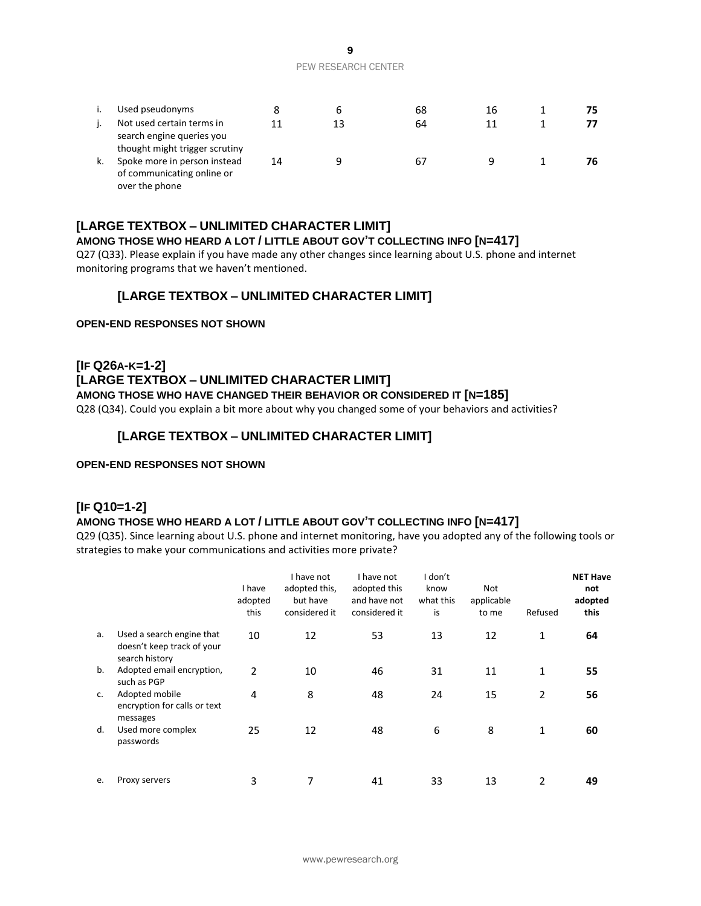|    | Used pseudonyms                                                                          |    |    | 68 | 16 | 75 |
|----|------------------------------------------------------------------------------------------|----|----|----|----|----|
|    | Not used certain terms in<br>search engine queries you<br>thought might trigger scrutiny | 11 | 13 | 64 |    |    |
| k. | Spoke more in person instead<br>of communicating online or<br>over the phone             | 14 |    | 67 |    | 76 |

## **[LARGE TEXTBOX – UNLIMITED CHARACTER LIMIT]**

## **AMONG THOSE WHO HEARD A LOT / LITTLE ABOUT GOV'T COLLECTING INFO [N=417]**

Q27 (Q33). Please explain if you have made any other changes since learning about U.S. phone and internet monitoring programs that we haven't mentioned.

## **[LARGE TEXTBOX – UNLIMITED CHARACTER LIMIT]**

#### **OPEN-END RESPONSES NOT SHOWN**

# **[IF Q26A-K=1-2] [LARGE TEXTBOX – UNLIMITED CHARACTER LIMIT]**

**AMONG THOSE WHO HAVE CHANGED THEIR BEHAVIOR OR CONSIDERED IT [N=185]**

Q28 (Q34). Could you explain a bit more about why you changed some of your behaviors and activities?

## **[LARGE TEXTBOX – UNLIMITED CHARACTER LIMIT]**

#### **OPEN-END RESPONSES NOT SHOWN**

#### **[IF Q10=1-2]**

## **AMONG THOSE WHO HEARD A LOT / LITTLE ABOUT GOV'T COLLECTING INFO [N=417]**

Q29 (Q35). Since learning about U.S. phone and internet monitoring, have you adopted any of the following tools or strategies to make your communications and activities more private?

|    |                                                                           | I have<br>adopted<br>this | I have not<br>adopted this,<br>but have<br>considered it | I have not<br>adopted this<br>and have not<br>considered it | I don't<br>know<br>what this<br>is | <b>Not</b><br>applicable<br>to me | Refused        | <b>NET Have</b><br>not<br>adopted<br>this |
|----|---------------------------------------------------------------------------|---------------------------|----------------------------------------------------------|-------------------------------------------------------------|------------------------------------|-----------------------------------|----------------|-------------------------------------------|
| a. | Used a search engine that<br>doesn't keep track of your<br>search history | 10                        | 12                                                       | 53                                                          | 13                                 | 12                                | $\mathbf{1}$   | 64                                        |
| b. | Adopted email encryption,<br>such as PGP                                  | $\mathfrak{p}$            | 10                                                       | 46                                                          | 31                                 | 11                                | $\mathbf{1}$   | 55                                        |
| c. | Adopted mobile<br>encryption for calls or text<br>messages                | 4                         | 8                                                        | 48                                                          | 24                                 | 15                                | $\overline{2}$ | 56                                        |
| d. | Used more complex<br>passwords                                            | 25                        | 12                                                       | 48                                                          | 6                                  | 8                                 | 1              | 60                                        |
| e. | Proxy servers                                                             | 3                         |                                                          | 41                                                          | 33                                 | 13                                | 2              | 49                                        |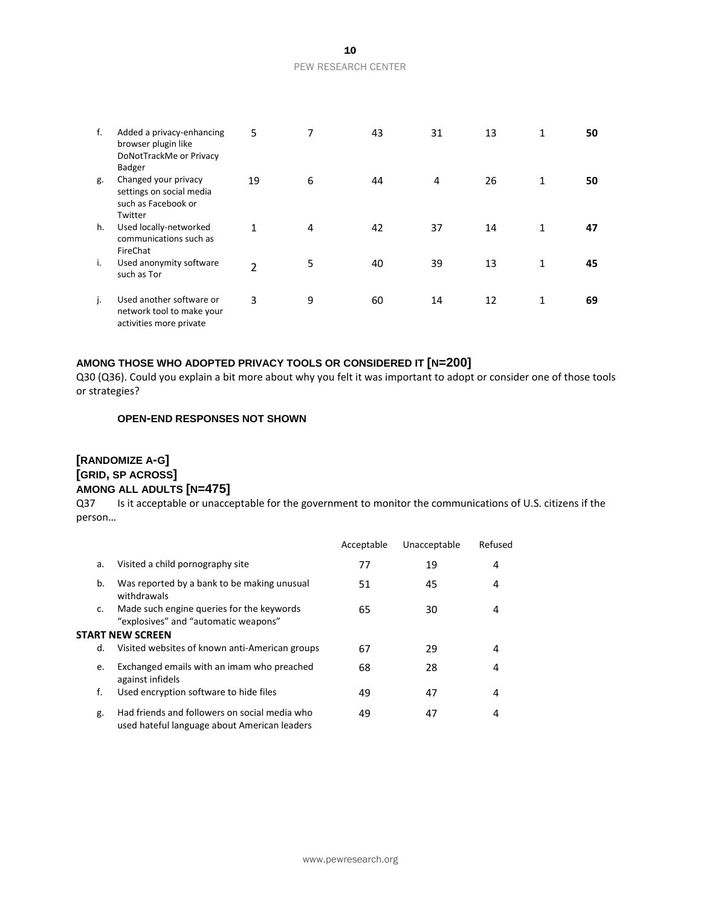| f. | Added a privacy-enhancing<br>browser plugin like<br>DoNotTrackMe or Privacy              | 5  | 7 | 43 | 31             | 13 | 1 | 50 |
|----|------------------------------------------------------------------------------------------|----|---|----|----------------|----|---|----|
| g. | <b>Badger</b><br>Changed your privacy<br>settings on social media<br>such as Facebook or | 19 | 6 | 44 | $\overline{4}$ | 26 | 1 | 50 |
| h. | Twitter<br>Used locally-networked<br>communications such as<br>FireChat                  | 1  | 4 | 42 | 37             | 14 | 1 | 47 |
| i. | Used anonymity software<br>such as Tor                                                   | 2  | 5 | 40 | 39             | 13 | 1 | 45 |
| j. | Used another software or<br>network tool to make your<br>activities more private         | 3  | 9 | 60 | 14             | 12 | 1 | 69 |

#### **AMONG THOSE WHO ADOPTED PRIVACY TOOLS OR CONSIDERED IT [N=200]**

Q30 (Q36). Could you explain a bit more about why you felt it was important to adopt or consider one of those tools or strategies?

#### **OPEN-END RESPONSES NOT SHOWN**

# **[RANDOMIZE A-G] [GRID, SP ACROSS] AMONG ALL ADULTS [N=475]**

Q37 Is it acceptable or unacceptable for the government to monitor the communications of U.S. citizens if the person…

|    |                                                                                               | Acceptable | Unacceptable | Refused |
|----|-----------------------------------------------------------------------------------------------|------------|--------------|---------|
| a. | Visited a child pornography site                                                              | 77         | 19           | 4       |
| b. | Was reported by a bank to be making unusual<br>withdrawals                                    | 51         | 45           | 4       |
| c. | Made such engine queries for the keywords<br>"explosives" and "automatic weapons"             | 65         | 30           | 4       |
|    | <b>START NEW SCREEN</b>                                                                       |            |              |         |
| d. | Visited websites of known anti-American groups                                                | 67         | 29           | 4       |
| e. | Exchanged emails with an imam who preached<br>against infidels                                | 68         | 28           | 4       |
| f. | Used encryption software to hide files                                                        | 49         | 47           | 4       |
| g. | Had friends and followers on social media who<br>used hateful language about American leaders | 49         | 47           | 4       |